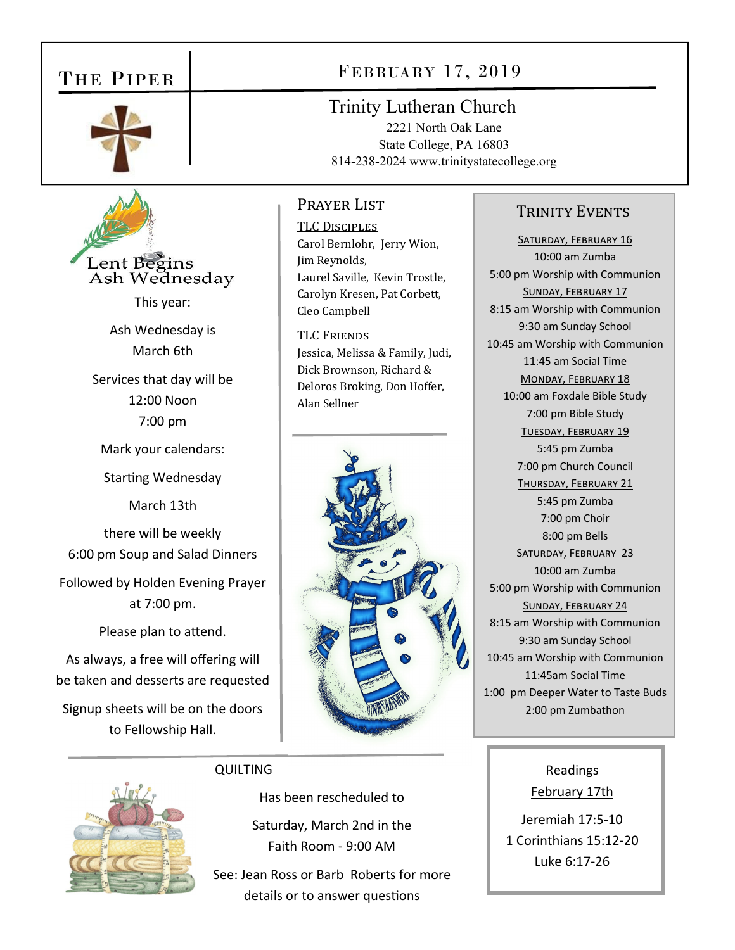## THE PIPER



Lent Begins Ash Wednesday This year: Ash Wednesday is March 6th

Services that day will be 12:00 Noon 7:00 pm

Mark your calendars:

Starting Wednesday

March 13th

there will be weekly 6:00 pm Soup and Salad Dinners Followed by Holden Evening Prayer at 7:00 pm.

Please plan to attend.

As always, a free will offering will be taken and desserts are requested Signup sheets will be on the doors to Fellowship Hall.

## FEBRUARY 17, 2019

Trinity Lutheran Church

2221 North Oak Lane State College, PA 16803 814-238-2024 www.trinitystatecollege.org

### Prayer List

TLC DISCIPLES Carol Bernlohr, Jerry Wion, Jim Reynolds, Laurel Saville, Kevin Trostle, Carolyn Kresen, Pat Corbett, Cleo Campbell

**TLC FRIENDS** Jessica, Melissa & Family, Judi, Dick Brownson, Richard & Deloros Broking, Don Hoffer, Alan Sellner



### TRINITY EVENTS

SATURDAY, FEBRUARY 16 10:00 am Zumba 5:00 pm Worship with Communion SUNDAY, FEBRUARY 17 8:15 am Worship with Communion 9:30 am Sunday School 10:45 am Worship with Communion 11:45 am Social Time MONDAY, FEBRUARY 18 10:00 am Foxdale Bible Study 7:00 pm Bible Study TUESDAY, FEBRUARY 19 5:45 pm Zumba 7:00 pm Church Council THURSDAY, FEBRUARY 21 5:45 pm Zumba 7:00 pm Choir 8:00 pm Bells SATURDAY, FEBRUARY 23 10:00 am Zumba 5:00 pm Worship with Communion SUNDAY, FEBRUARY 24 8:15 am Worship with Communion 9:30 am Sunday School 10:45 am Worship with Communion 11:45am Social Time 1:00 pm Deeper Water to Taste Buds 2:00 pm Zumbathon



### **QUILTING**

Has been rescheduled to

Saturday, March 2nd in the Faith Room ‐ 9:00 AM

See: Jean Ross or Barb Roberts for more details or to answer questions

## Readings February 17th

Jeremiah 17:5‐10 1 Corinthians 15:12‐20 Luke 6:17‐26